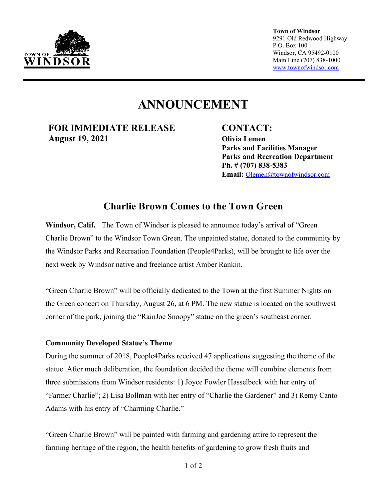

**Town of Windsor** 9291 Old Redwood Highway P.O. Box 100 Windsor, CA 95492-0100 Main Line (707) 838-1000 [www.townofwindsor.com](http://www.townofwindsor.com/)

# **ANNOUNCEMENT**

**FOR IMMEDIATE RELEASE CONTACT: August 19, 2021 Olivia Lemen**

**Parks and Facilities Manager Parks and Recreation Department Ph. # (707) 838-5383 Email:** [Olemen@townofwindsor.com](mailto:Olemen@townofwindsor.com)

# **Charlie Brown Comes to the Town Green**

**Windsor, Calif.** – The Town of Windsor is pleased to announce today's arrival of "Green Charlie Brown" to the Windsor Town Green. The unpainted statue, donated to the community by the Windsor Parks and Recreation Foundation (People4Parks), will be brought to life over the next week by Windsor native and freelance artist Amber Rankin.

"Green Charlie Brown" will be officially dedicated to the Town at the first Summer Nights on the Green concert on Thursday, August 26, at 6 PM. The new statue is located on the southwest corner of the park, joining the "RainJoe Snoopy" statue on the green's southeast corner.

## **Community Developed Statue's Theme**

During the summer of 2018, People4Parks received 47 applications suggesting the theme of the statue. After much deliberation, the foundation decided the theme will combine elements from three submissions from Windsor residents: 1) Joyce Fowler Hasselbeck with her entry of "Farmer Charlie"; 2) Lisa Bollman with her entry of "Charlie the Gardener" and 3) Remy Canto Adams with his entry of "Charming Charlie."

"Green Charlie Brown" will be painted with farming and gardening attire to represent the farming heritage of the region, the health benefits of gardening to grow fresh fruits and

1 of 2